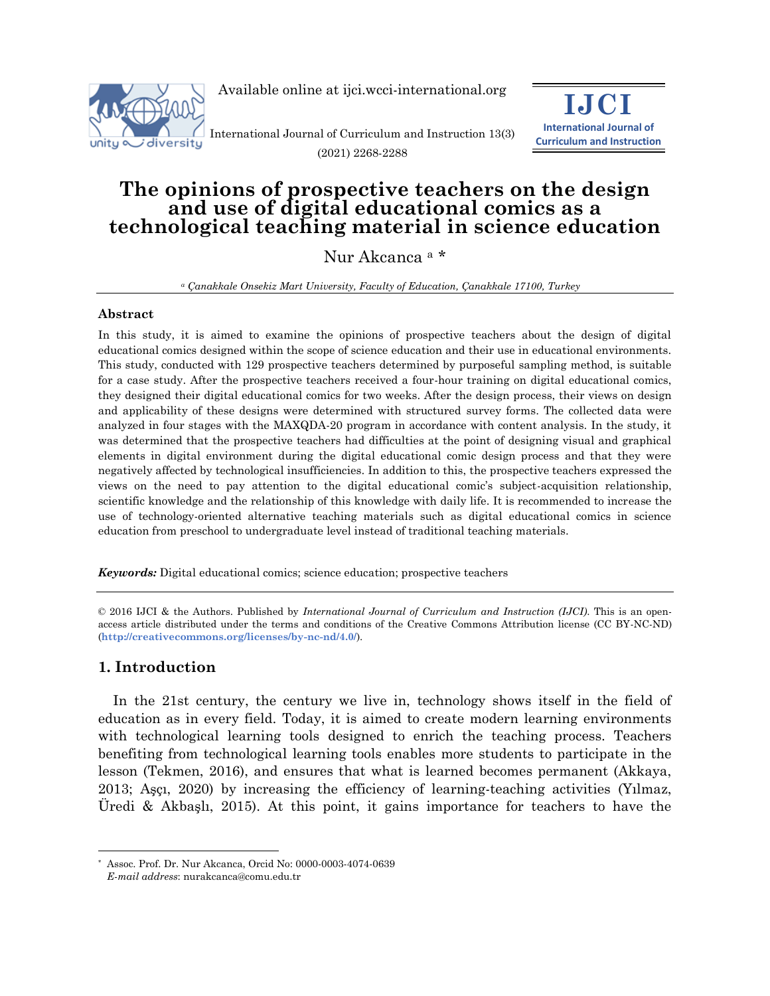

Available online at ijci.wcci-international.org

International Journal of Curriculum and Instruction 13(3) (2021) 2268-2288



# **The opinions of prospective teachers on the design and use of digital educational comics as a technological teaching material in science education**

## Nur Akcanca <sup>a</sup> \*

*<sup>a</sup> Çanakkale Onsekiz Mart University, Faculty of Education, Çanakkale 17100, Turkey*

### **Abstract**

In this study, it is aimed to examine the opinions of prospective teachers about the design of digital educational comics designed within the scope of science education and their use in educational environments. This study, conducted with 129 prospective teachers determined by purposeful sampling method, is suitable for a case study. After the prospective teachers received a four-hour training on digital educational comics, they designed their digital educational comics for two weeks. After the design process, their views on design and applicability of these designs were determined with structured survey forms. The collected data were analyzed in four stages with the MAXQDA-20 program in accordance with content analysis. In the study, it was determined that the prospective teachers had difficulties at the point of designing visual and graphical elements in digital environment during the digital educational comic design process and that they were negatively affected by technological insufficiencies. In addition to this, the prospective teachers expressed the views on the need to pay attention to the digital educational comic's subject-acquisition relationship, scientific knowledge and the relationship of this knowledge with daily life. It is recommended to increase the use of technology-oriented alternative teaching materials such as digital educational comics in science education from preschool to undergraduate level instead of traditional teaching materials.

*Keywords:* Digital educational comics; science education; prospective teachers

© 2016 IJCI & the Authors. Published by *International Journal of Curriculum and Instruction (IJCI)*. This is an openaccess article distributed under the terms and conditions of the Creative Commons Attribution license (CC BY-NC-ND) (**http://creativecommons.org/licenses/by-nc-nd/4.0/**).

## **1. Introduction**

In the 21st century, the century we live in, technology shows itself in the field of education as in every field. Today, it is aimed to create modern learning environments with technological learning tools designed to enrich the teaching process. Teachers benefiting from technological learning tools enables more students to participate in the lesson (Tekmen, 2016), and ensures that what is learned becomes permanent (Akkaya, 2013; Aşçı, 2020) by increasing the efficiency of learning-teaching activities (Yılmaz, Üredi & Akbaşlı, 2015). At this point, it gains importance for teachers to have the

<sup>-</sup>Assoc. Prof. Dr. Nur Akcanca, Orcid No: 0000-0003-4074-0639

*E-mail address*: nurakcanca@comu.edu.tr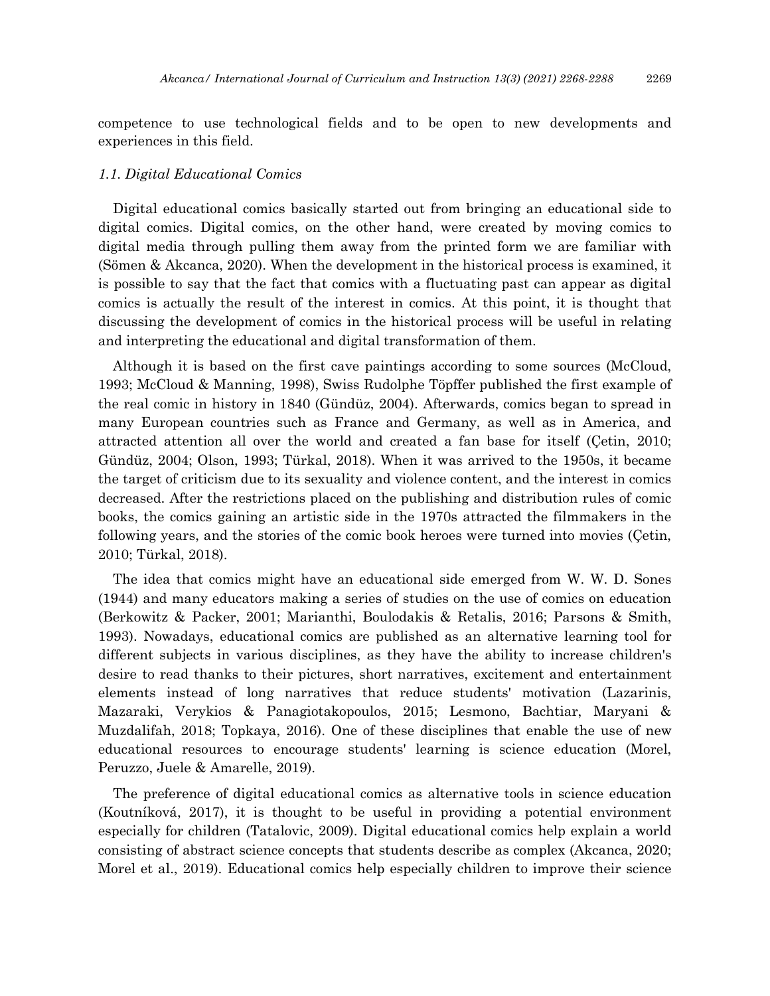competence to use technological fields and to be open to new developments and experiences in this field.

#### *1.1. Digital Educational Comics*

Digital educational comics basically started out from bringing an educational side to digital comics. Digital comics, on the other hand, were created by moving comics to digital media through pulling them away from the printed form we are familiar with (Sömen & Akcanca, 2020). When the development in the historical process is examined, it is possible to say that the fact that comics with a fluctuating past can appear as digital comics is actually the result of the interest in comics. At this point, it is thought that discussing the development of comics in the historical process will be useful in relating and interpreting the educational and digital transformation of them.

Although it is based on the first cave paintings according to some sources (McCloud, 1993; McCloud & Manning, 1998), Swiss Rudolphe Töpffer published the first example of the real comic in history in 1840 (Gündüz, 2004). Afterwards, comics began to spread in many European countries such as France and Germany, as well as in America, and attracted attention all over the world and created a fan base for itself (Çetin, 2010; Gündüz, 2004; Olson, 1993; Türkal, 2018). When it was arrived to the 1950s, it became the target of criticism due to its sexuality and violence content, and the interest in comics decreased. After the restrictions placed on the publishing and distribution rules of comic books, the comics gaining an artistic side in the 1970s attracted the filmmakers in the following years, and the stories of the comic book heroes were turned into movies (Çetin, 2010; Türkal, 2018).

The idea that comics might have an educational side emerged from W. W. D. Sones (1944) and many educators making a series of studies on the use of comics on education (Berkowitz & Packer, 2001; Marianthi, Boulodakis & Retalis, 2016; Parsons & Smith, 1993). Nowadays, educational comics are published as an alternative learning tool for different subjects in various disciplines, as they have the ability to increase children's desire to read thanks to their pictures, short narratives, excitement and entertainment elements instead of long narratives that reduce students' motivation (Lazarinis, Mazaraki, Verykios & Panagiotakopoulos, 2015; Lesmono, Bachtiar, Maryani & Muzdalifah, 2018; Topkaya, 2016). One of these disciplines that enable the use of new educational resources to encourage students' learning is science education (Morel, Peruzzo, Juele & Amarelle, 2019).

The preference of digital educational comics as alternative tools in science education (Koutníková, 2017), it is thought to be useful in providing a potential environment especially for children (Tatalovic, 2009). Digital educational comics help explain a world consisting of abstract science concepts that students describe as complex (Akcanca, 2020; Morel et al., 2019). Educational comics help especially children to improve their science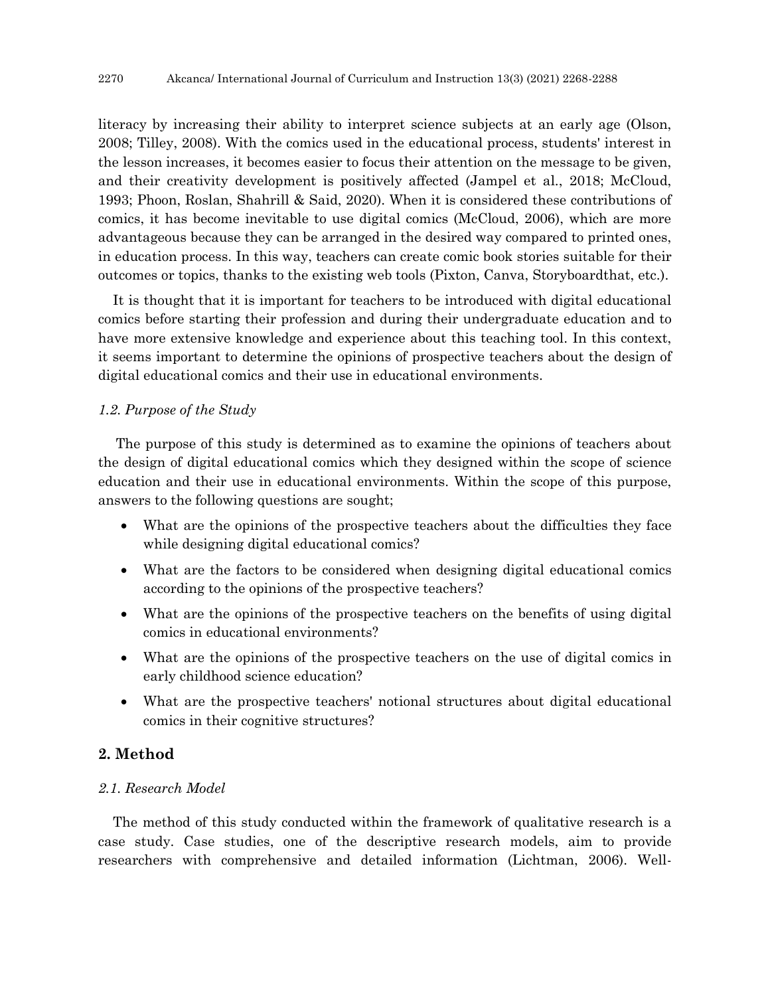literacy by increasing their ability to interpret science subjects at an early age (Olson, 2008; Tilley, 2008). With the comics used in the educational process, students' interest in the lesson increases, it becomes easier to focus their attention on the message to be given, and their creativity development is positively affected (Jampel et al., 2018; McCloud, 1993; Phoon, Roslan, Shahrill & Said, 2020). When it is considered these contributions of comics, it has become inevitable to use digital comics (McCloud, 2006), which are more advantageous because they can be arranged in the desired way compared to printed ones, in education process. In this way, teachers can create comic book stories suitable for their outcomes or topics, thanks to the existing web tools (Pixton, Canva, Storyboardthat, etc.).

It is thought that it is important for teachers to be introduced with digital educational comics before starting their profession and during their undergraduate education and to have more extensive knowledge and experience about this teaching tool. In this context, it seems important to determine the opinions of prospective teachers about the design of digital educational comics and their use in educational environments.

#### *1.2. Purpose of the Study*

The purpose of this study is determined as to examine the opinions of teachers about the design of digital educational comics which they designed within the scope of science education and their use in educational environments. Within the scope of this purpose, answers to the following questions are sought;

- What are the opinions of the prospective teachers about the difficulties they face while designing digital educational comics?
- What are the factors to be considered when designing digital educational comics according to the opinions of the prospective teachers?
- What are the opinions of the prospective teachers on the benefits of using digital comics in educational environments?
- What are the opinions of the prospective teachers on the use of digital comics in early childhood science education?
- What are the prospective teachers' notional structures about digital educational comics in their cognitive structures?

## **2. Method**

### *2.1. Research Model*

The method of this study conducted within the framework of qualitative research is a case study. Case studies, one of the descriptive research models, aim to provide researchers with comprehensive and detailed information (Lichtman, 2006). Well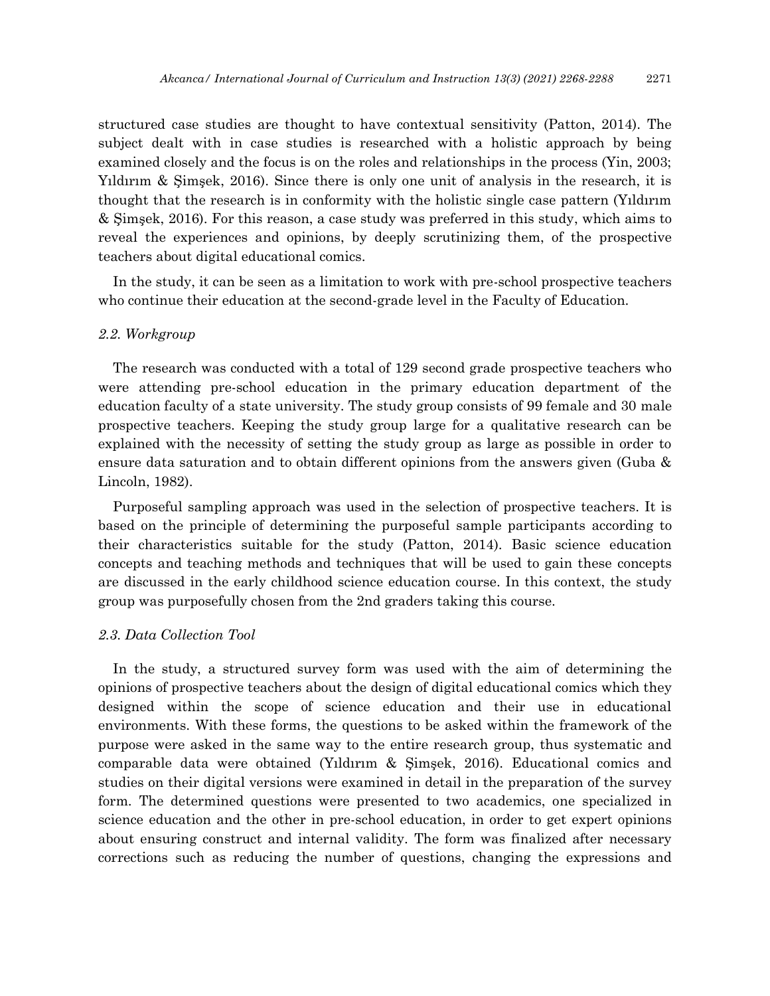structured case studies are thought to have contextual sensitivity (Patton, 2014). The subject dealt with in case studies is researched with a holistic approach by being examined closely and the focus is on the roles and relationships in the process (Yin, 2003; Yıldırım & Şimşek, 2016). Since there is only one unit of analysis in the research, it is thought that the research is in conformity with the holistic single case pattern (Yıldırım & Şimşek, 2016). For this reason, a case study was preferred in this study, which aims to reveal the experiences and opinions, by deeply scrutinizing them, of the prospective teachers about digital educational comics.

In the study, it can be seen as a limitation to work with pre-school prospective teachers who continue their education at the second-grade level in the Faculty of Education.

#### *2.2. Workgroup*

The research was conducted with a total of 129 second grade prospective teachers who were attending pre-school education in the primary education department of the education faculty of a state university. The study group consists of 99 female and 30 male prospective teachers. Keeping the study group large for a qualitative research can be explained with the necessity of setting the study group as large as possible in order to ensure data saturation and to obtain different opinions from the answers given (Guba & Lincoln, 1982).

Purposeful sampling approach was used in the selection of prospective teachers. It is based on the principle of determining the purposeful sample participants according to their characteristics suitable for the study (Patton, 2014). Basic science education concepts and teaching methods and techniques that will be used to gain these concepts are discussed in the early childhood science education course. In this context, the study group was purposefully chosen from the 2nd graders taking this course.

#### *2.3. Data Collection Tool*

In the study, a structured survey form was used with the aim of determining the opinions of prospective teachers about the design of digital educational comics which they designed within the scope of science education and their use in educational environments. With these forms, the questions to be asked within the framework of the purpose were asked in the same way to the entire research group, thus systematic and comparable data were obtained (Yıldırım & Şimşek, 2016). Educational comics and studies on their digital versions were examined in detail in the preparation of the survey form. The determined questions were presented to two academics, one specialized in science education and the other in pre-school education, in order to get expert opinions about ensuring construct and internal validity. The form was finalized after necessary corrections such as reducing the number of questions, changing the expressions and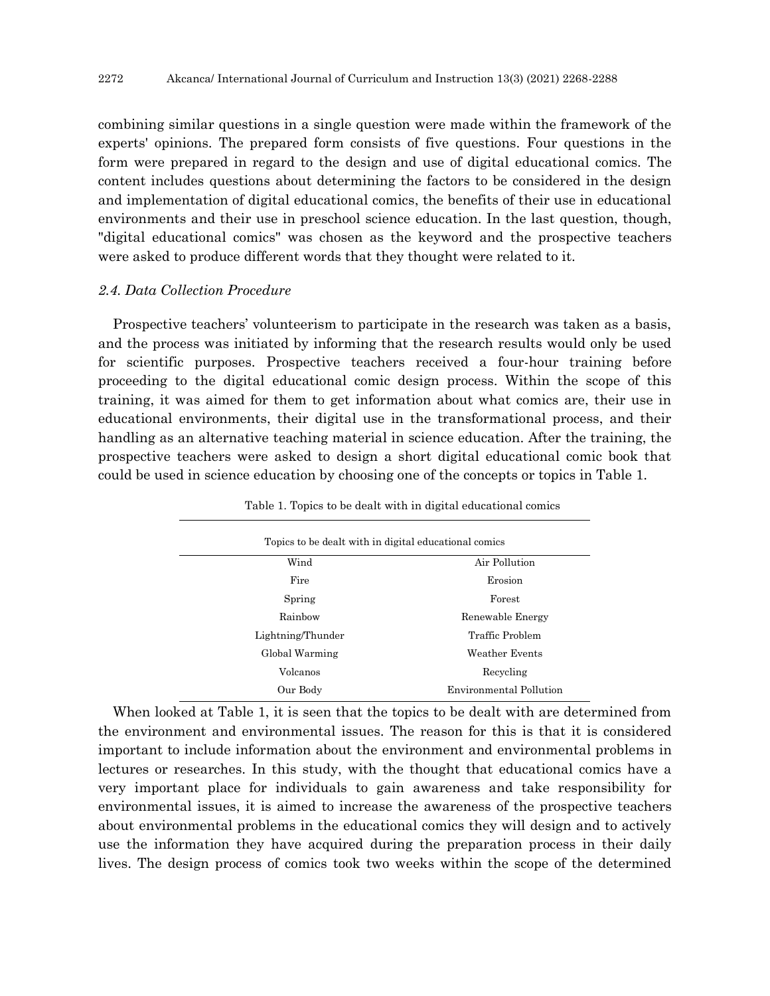combining similar questions in a single question were made within the framework of the experts' opinions. The prepared form consists of five questions. Four questions in the form were prepared in regard to the design and use of digital educational comics. The content includes questions about determining the factors to be considered in the design and implementation of digital educational comics, the benefits of their use in educational environments and their use in preschool science education. In the last question, though, "digital educational comics" was chosen as the keyword and the prospective teachers were asked to produce different words that they thought were related to it.

#### *2.4. Data Collection Procedure*

Prospective teachers' volunteerism to participate in the research was taken as a basis, and the process was initiated by informing that the research results would only be used for scientific purposes. Prospective teachers received a four-hour training before proceeding to the digital educational comic design process. Within the scope of this training, it was aimed for them to get information about what comics are, their use in educational environments, their digital use in the transformational process, and their handling as an alternative teaching material in science education. After the training, the prospective teachers were asked to design a short digital educational comic book that could be used in science education by choosing one of the concepts or topics in Table 1.

| Topics to be dealt with in digital educational comics |                                |
|-------------------------------------------------------|--------------------------------|
| Wind                                                  | Air Pollution                  |
| Fire                                                  | Erosion                        |
| Spring                                                | Forest                         |
| Rainbow                                               | Renewable Energy               |
| Lightning/Thunder                                     | Traffic Problem                |
| Global Warming                                        | Weather Events                 |
| Volcanos                                              | Recycling                      |
| Our Body                                              | <b>Environmental Pollution</b> |

Table 1. Topics to be dealt with in digital educational comics

When looked at Table 1, it is seen that the topics to be dealt with are determined from the environment and environmental issues. The reason for this is that it is considered important to include information about the environment and environmental problems in lectures or researches. In this study, with the thought that educational comics have a very important place for individuals to gain awareness and take responsibility for environmental issues, it is aimed to increase the awareness of the prospective teachers about environmental problems in the educational comics they will design and to actively use the information they have acquired during the preparation process in their daily lives. The design process of comics took two weeks within the scope of the determined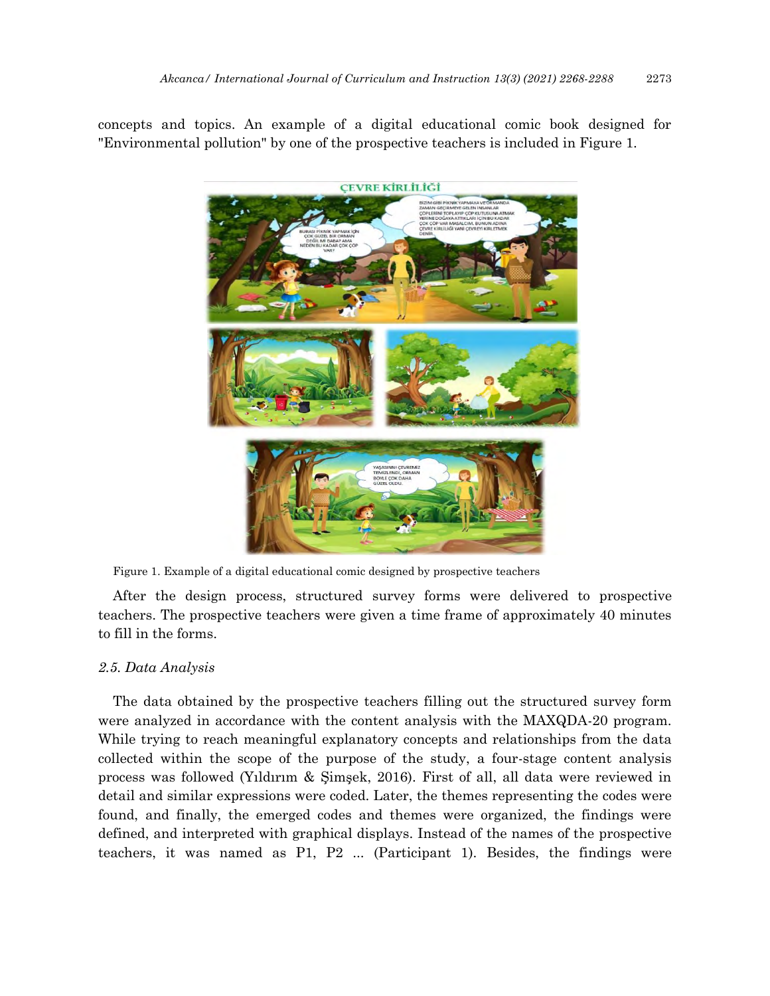concepts and topics. An example of a digital educational comic book designed for "Environmental pollution" by one of the prospective teachers is included in Figure 1.



Figure 1. Example of a digital educational comic designed by prospective teachers

After the design process, structured survey forms were delivered to prospective teachers. The prospective teachers were given a time frame of approximately 40 minutes to fill in the forms.

### *2.5. Data Analysis*

The data obtained by the prospective teachers filling out the structured survey form were analyzed in accordance with the content analysis with the MAXQDA-20 program. While trying to reach meaningful explanatory concepts and relationships from the data collected within the scope of the purpose of the study, a four-stage content analysis process was followed (Yıldırım & Şimşek, 2016). First of all, all data were reviewed in detail and similar expressions were coded. Later, the themes representing the codes were found, and finally, the emerged codes and themes were organized, the findings were defined, and interpreted with graphical displays. Instead of the names of the prospective teachers, it was named as P1, P2 ... (Participant 1). Besides, the findings were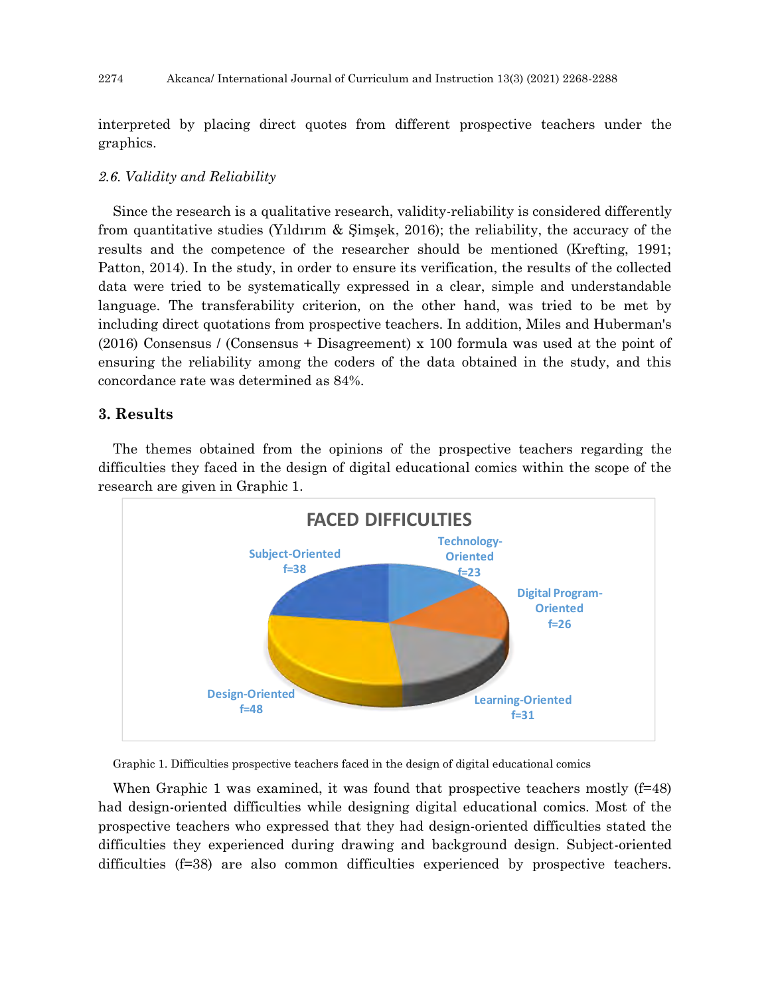interpreted by placing direct quotes from different prospective teachers under the graphics.

### *2.6. Validity and Reliability*

Since the research is a qualitative research, validity-reliability is considered differently from quantitative studies (Yıldırım & Şimşek, 2016); the reliability, the accuracy of the results and the competence of the researcher should be mentioned (Krefting, 1991; Patton, 2014). In the study, in order to ensure its verification, the results of the collected data were tried to be systematically expressed in a clear, simple and understandable language. The transferability criterion, on the other hand, was tried to be met by including direct quotations from prospective teachers. In addition, Miles and Huberman's (2016) Consensus / (Consensus + Disagreement) x 100 formula was used at the point of ensuring the reliability among the coders of the data obtained in the study, and this concordance rate was determined as 84%.

## **3. Results**

The themes obtained from the opinions of the prospective teachers regarding the difficulties they faced in the design of digital educational comics within the scope of the research are given in Graphic 1.



Graphic 1. Difficulties prospective teachers faced in the design of digital educational comics

When Graphic 1 was examined, it was found that prospective teachers mostly (f=48) had design-oriented difficulties while designing digital educational comics. Most of the prospective teachers who expressed that they had design-oriented difficulties stated the difficulties they experienced during drawing and background design. Subject-oriented difficulties (f=38) are also common difficulties experienced by prospective teachers.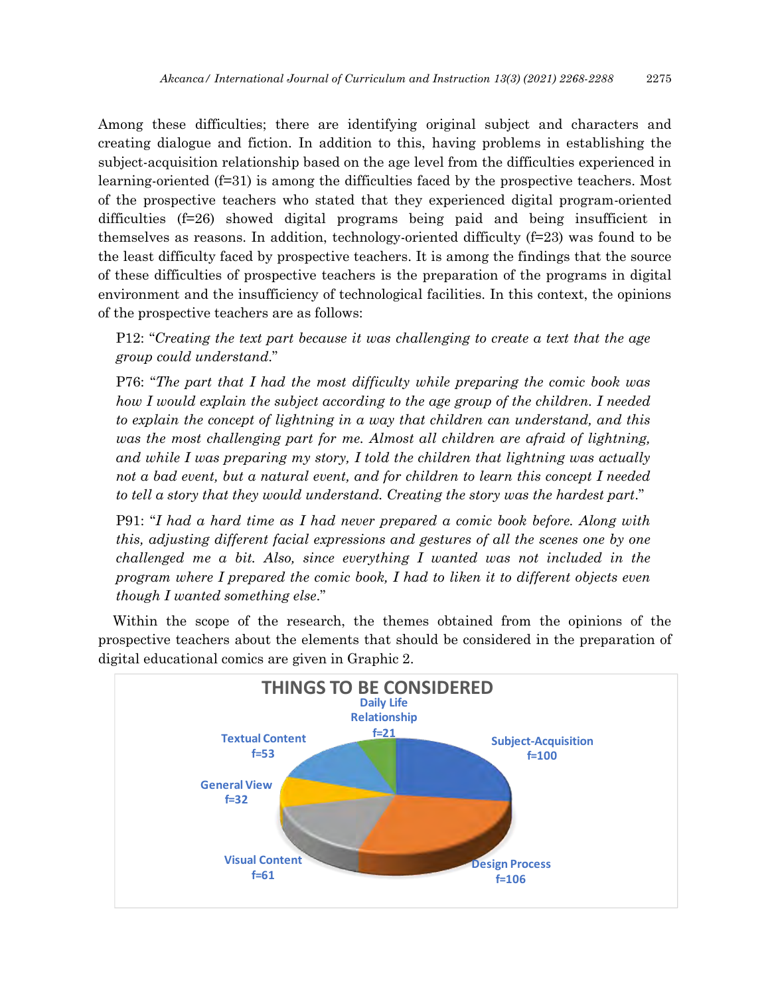Among these difficulties; there are identifying original subject and characters and creating dialogue and fiction. In addition to this, having problems in establishing the subject-acquisition relationship based on the age level from the difficulties experienced in learning-oriented (f=31) is among the difficulties faced by the prospective teachers. Most of the prospective teachers who stated that they experienced digital program-oriented difficulties (f=26) showed digital programs being paid and being insufficient in themselves as reasons. In addition, technology-oriented difficulty  $(f=23)$  was found to be the least difficulty faced by prospective teachers. It is among the findings that the source of these difficulties of prospective teachers is the preparation of the programs in digital environment and the insufficiency of technological facilities. In this context, the opinions of the prospective teachers are as follows:

P12: "*Creating the text part because it was challenging to create a text that the age group could understand*."

P76: "*The part that I had the most difficulty while preparing the comic book was how I would explain the subject according to the age group of the children. I needed to explain the concept of lightning in a way that children can understand, and this was the most challenging part for me. Almost all children are afraid of lightning, and while I was preparing my story, I told the children that lightning was actually not a bad event, but a natural event, and for children to learn this concept I needed to tell a story that they would understand. Creating the story was the hardest part*."

P91: "*I had a hard time as I had never prepared a comic book before. Along with this, adjusting different facial expressions and gestures of all the scenes one by one challenged me a bit. Also, since everything I wanted was not included in the program where I prepared the comic book, I had to liken it to different objects even though I wanted something else*."

Within the scope of the research, the themes obtained from the opinions of the prospective teachers about the elements that should be considered in the preparation of digital educational comics are given in Graphic 2.

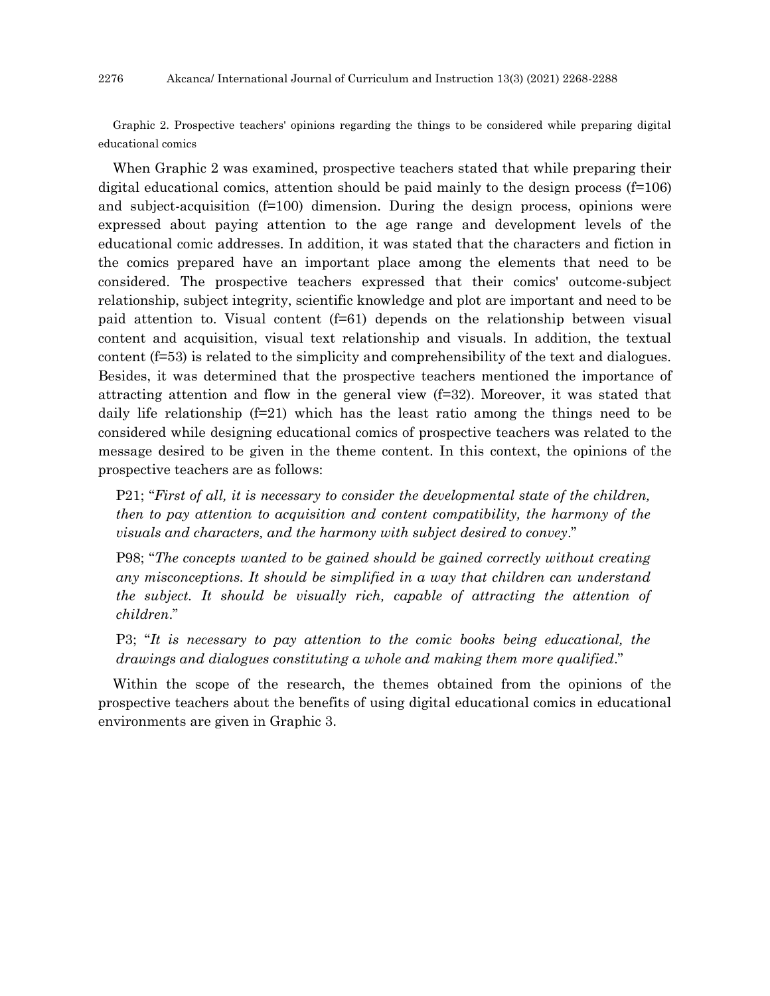Graphic 2. Prospective teachers' opinions regarding the things to be considered while preparing digital educational comics

When Graphic 2 was examined, prospective teachers stated that while preparing their digital educational comics, attention should be paid mainly to the design process  $(f=106)$ and subject-acquisition (f=100) dimension. During the design process, opinions were expressed about paying attention to the age range and development levels of the educational comic addresses. In addition, it was stated that the characters and fiction in the comics prepared have an important place among the elements that need to be considered. The prospective teachers expressed that their comics' outcome-subject relationship, subject integrity, scientific knowledge and plot are important and need to be paid attention to. Visual content  $(f=61)$  depends on the relationship between visual content and acquisition, visual text relationship and visuals. In addition, the textual content (f=53) is related to the simplicity and comprehensibility of the text and dialogues. Besides, it was determined that the prospective teachers mentioned the importance of attracting attention and flow in the general view (f=32). Moreover, it was stated that daily life relationship  $(f=21)$  which has the least ratio among the things need to be considered while designing educational comics of prospective teachers was related to the message desired to be given in the theme content. In this context, the opinions of the prospective teachers are as follows:

P21; "*First of all, it is necessary to consider the developmental state of the children, then to pay attention to acquisition and content compatibility, the harmony of the visuals and characters, and the harmony with subject desired to convey*."

P98; "*The concepts wanted to be gained should be gained correctly without creating any misconceptions. It should be simplified in a way that children can understand the subject. It should be visually rich, capable of attracting the attention of children*."

P3; "*It is necessary to pay attention to the comic books being educational, the drawings and dialogues constituting a whole and making them more qualified*."

Within the scope of the research, the themes obtained from the opinions of the prospective teachers about the benefits of using digital educational comics in educational environments are given in Graphic 3.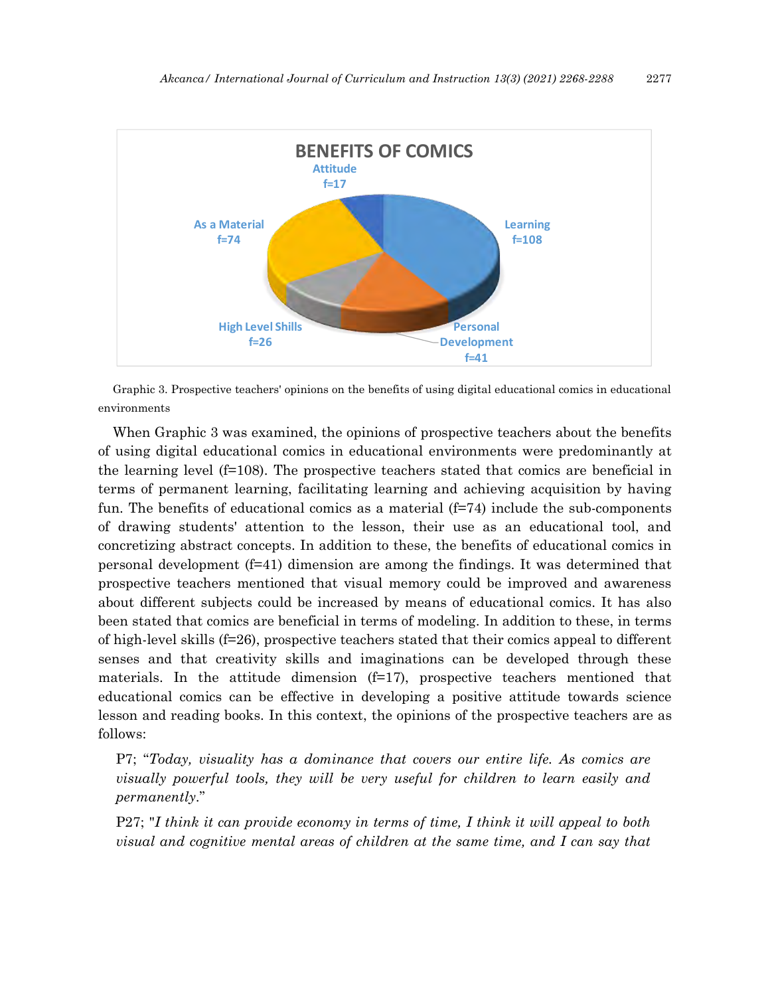

Graphic 3. Prospective teachers' opinions on the benefits of using digital educational comics in educational environments

When Graphic 3 was examined, the opinions of prospective teachers about the benefits of using digital educational comics in educational environments were predominantly at the learning level (f=108). The prospective teachers stated that comics are beneficial in terms of permanent learning, facilitating learning and achieving acquisition by having fun. The benefits of educational comics as a material  $(f=74)$  include the sub-components of drawing students' attention to the lesson, their use as an educational tool, and concretizing abstract concepts. In addition to these, the benefits of educational comics in personal development (f=41) dimension are among the findings. It was determined that prospective teachers mentioned that visual memory could be improved and awareness about different subjects could be increased by means of educational comics. It has also been stated that comics are beneficial in terms of modeling. In addition to these, in terms of high-level skills (f=26), prospective teachers stated that their comics appeal to different senses and that creativity skills and imaginations can be developed through these materials. In the attitude dimension  $(f=17)$ , prospective teachers mentioned that educational comics can be effective in developing a positive attitude towards science lesson and reading books. In this context, the opinions of the prospective teachers are as follows:

P7; "*Today, visuality has a dominance that covers our entire life. As comics are visually powerful tools, they will be very useful for children to learn easily and permanently*."

P27; "*I think it can provide economy in terms of time, I think it will appeal to both visual and cognitive mental areas of children at the same time, and I can say that*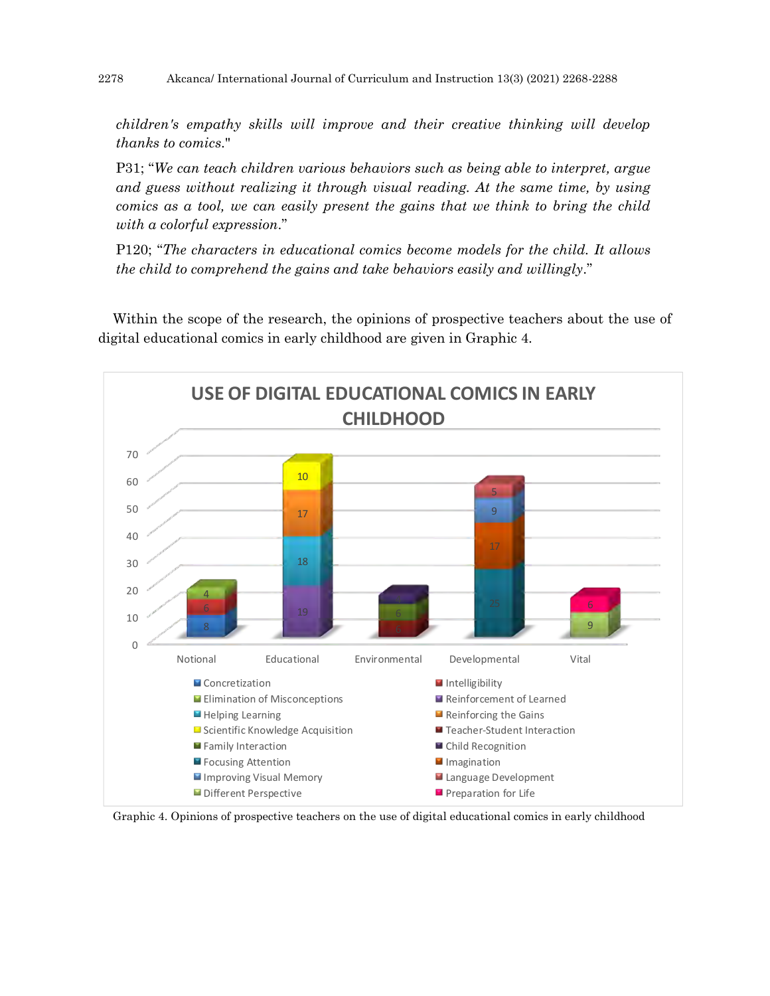*children's empathy skills will improve and their creative thinking will develop thanks to comics*."

P31; "*We can teach children various behaviors such as being able to interpret, argue and guess without realizing it through visual reading. At the same time, by using comics as a tool, we can easily present the gains that we think to bring the child with a colorful expression*."

P120; "*The characters in educational comics become models for the child. It allows the child to comprehend the gains and take behaviors easily and willingly*."

Within the scope of the research, the opinions of prospective teachers about the use of digital educational comics in early childhood are given in Graphic 4.



Graphic 4. Opinions of prospective teachers on the use of digital educational comics in early childhood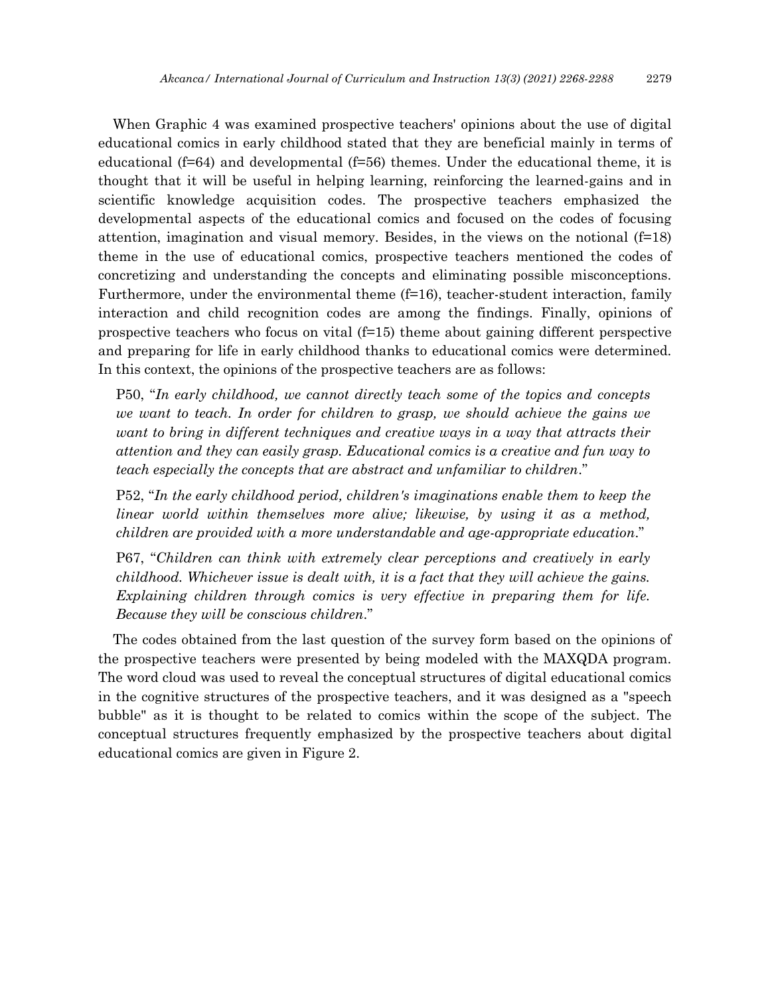When Graphic 4 was examined prospective teachers' opinions about the use of digital educational comics in early childhood stated that they are beneficial mainly in terms of educational ( $f=64$ ) and developmental ( $f=56$ ) themes. Under the educational theme, it is thought that it will be useful in helping learning, reinforcing the learned-gains and in scientific knowledge acquisition codes. The prospective teachers emphasized the developmental aspects of the educational comics and focused on the codes of focusing attention, imagination and visual memory. Besides, in the views on the notional  $(f=18)$ theme in the use of educational comics, prospective teachers mentioned the codes of concretizing and understanding the concepts and eliminating possible misconceptions. Furthermore, under the environmental theme (f=16), teacher-student interaction, family interaction and child recognition codes are among the findings. Finally, opinions of prospective teachers who focus on vital  $(f=15)$  theme about gaining different perspective and preparing for life in early childhood thanks to educational comics were determined. In this context, the opinions of the prospective teachers are as follows:

P50, "*In early childhood, we cannot directly teach some of the topics and concepts we want to teach. In order for children to grasp, we should achieve the gains we want to bring in different techniques and creative ways in a way that attracts their attention and they can easily grasp. Educational comics is a creative and fun way to teach especially the concepts that are abstract and unfamiliar to children*."

P52, "*In the early childhood period, children's imaginations enable them to keep the linear world within themselves more alive; likewise, by using it as a method, children are provided with a more understandable and age-appropriate education*."

P67, "*Children can think with extremely clear perceptions and creatively in early childhood. Whichever issue is dealt with, it is a fact that they will achieve the gains. Explaining children through comics is very effective in preparing them for life. Because they will be conscious children*."

The codes obtained from the last question of the survey form based on the opinions of the prospective teachers were presented by being modeled with the MAXQDA program. The word cloud was used to reveal the conceptual structures of digital educational comics in the cognitive structures of the prospective teachers, and it was designed as a "speech bubble" as it is thought to be related to comics within the scope of the subject. The conceptual structures frequently emphasized by the prospective teachers about digital educational comics are given in Figure 2.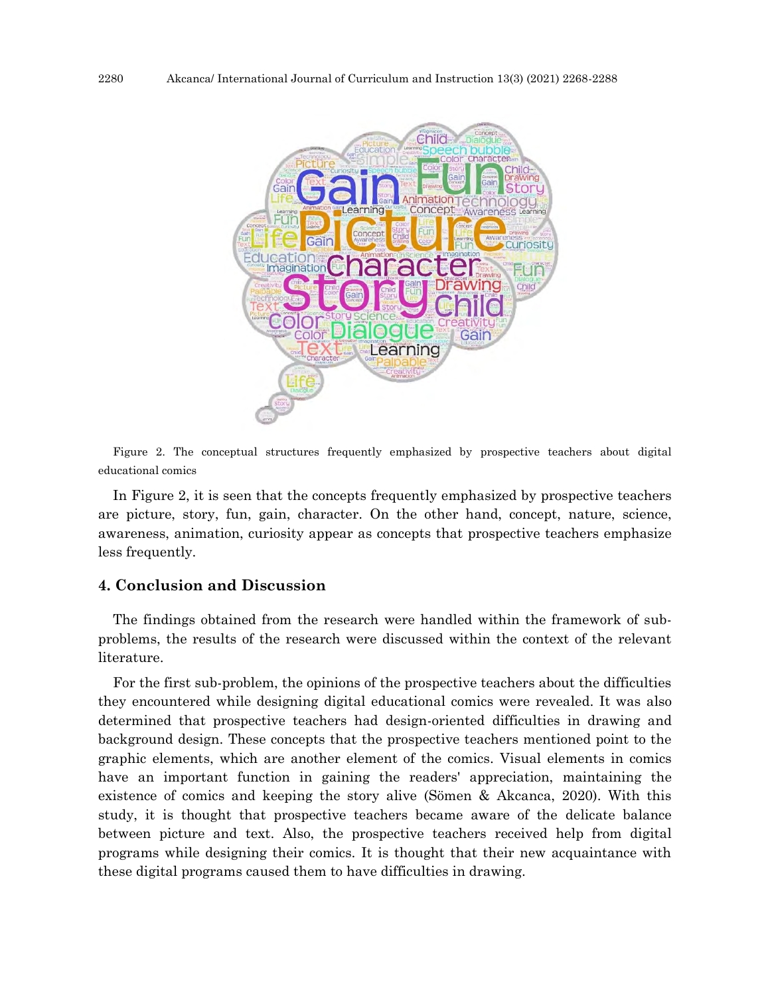

Figure 2. The conceptual structures frequently emphasized by prospective teachers about digital educational comics

In Figure 2, it is seen that the concepts frequently emphasized by prospective teachers are picture, story, fun, gain, character. On the other hand, concept, nature, science, awareness, animation, curiosity appear as concepts that prospective teachers emphasize less frequently.

## **4. Conclusion and Discussion**

The findings obtained from the research were handled within the framework of subproblems, the results of the research were discussed within the context of the relevant literature.

For the first sub-problem, the opinions of the prospective teachers about the difficulties they encountered while designing digital educational comics were revealed. It was also determined that prospective teachers had design-oriented difficulties in drawing and background design. These concepts that the prospective teachers mentioned point to the graphic elements, which are another element of the comics. Visual elements in comics have an important function in gaining the readers' appreciation, maintaining the existence of comics and keeping the story alive (Sömen & Akcanca, 2020). With this study, it is thought that prospective teachers became aware of the delicate balance between picture and text. Also, the prospective teachers received help from digital programs while designing their comics. It is thought that their new acquaintance with these digital programs caused them to have difficulties in drawing.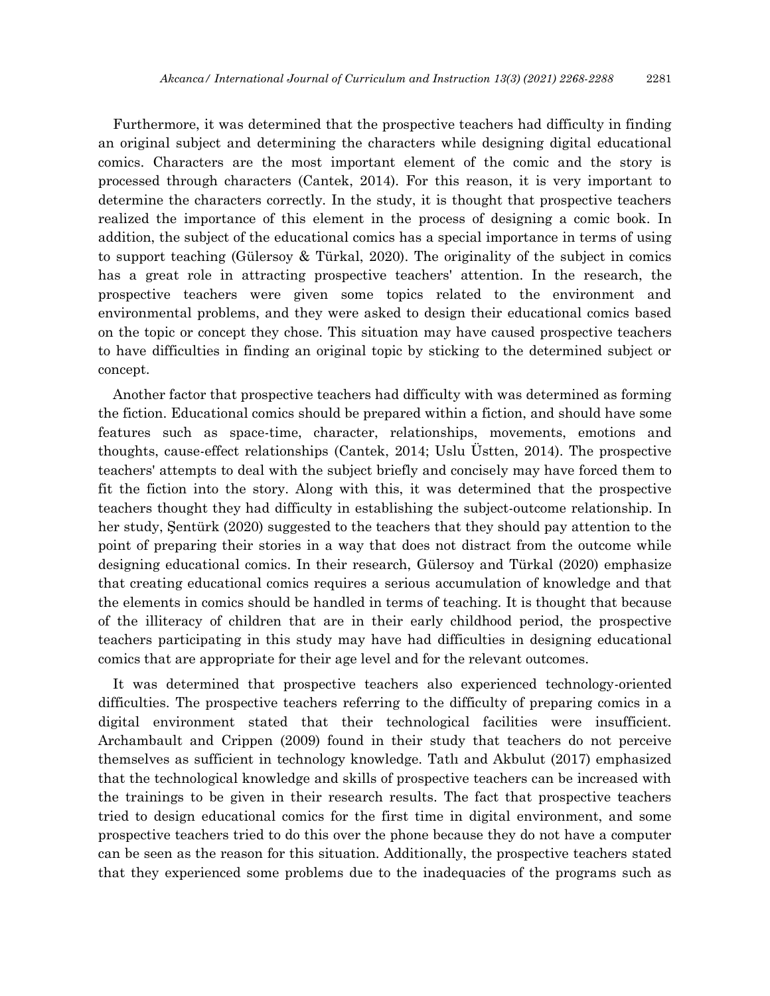Furthermore, it was determined that the prospective teachers had difficulty in finding an original subject and determining the characters while designing digital educational comics. Characters are the most important element of the comic and the story is processed through characters (Cantek, 2014). For this reason, it is very important to determine the characters correctly. In the study, it is thought that prospective teachers realized the importance of this element in the process of designing a comic book. In addition, the subject of the educational comics has a special importance in terms of using to support teaching (Gülersoy & Türkal, 2020). The originality of the subject in comics has a great role in attracting prospective teachers' attention. In the research, the prospective teachers were given some topics related to the environment and environmental problems, and they were asked to design their educational comics based on the topic or concept they chose. This situation may have caused prospective teachers to have difficulties in finding an original topic by sticking to the determined subject or concept.

Another factor that prospective teachers had difficulty with was determined as forming the fiction. Educational comics should be prepared within a fiction, and should have some features such as space-time, character, relationships, movements, emotions and thoughts, cause-effect relationships (Cantek, 2014; Uslu Üstten, 2014). The prospective teachers' attempts to deal with the subject briefly and concisely may have forced them to fit the fiction into the story. Along with this, it was determined that the prospective teachers thought they had difficulty in establishing the subject-outcome relationship. In her study, Şentürk (2020) suggested to the teachers that they should pay attention to the point of preparing their stories in a way that does not distract from the outcome while designing educational comics. In their research, Gülersoy and Türkal (2020) emphasize that creating educational comics requires a serious accumulation of knowledge and that the elements in comics should be handled in terms of teaching. It is thought that because of the illiteracy of children that are in their early childhood period, the prospective teachers participating in this study may have had difficulties in designing educational comics that are appropriate for their age level and for the relevant outcomes.

It was determined that prospective teachers also experienced technology-oriented difficulties. The prospective teachers referring to the difficulty of preparing comics in a digital environment stated that their technological facilities were insufficient. Archambault and Crippen (2009) found in their study that teachers do not perceive themselves as sufficient in technology knowledge. Tatlı and Akbulut (2017) emphasized that the technological knowledge and skills of prospective teachers can be increased with the trainings to be given in their research results. The fact that prospective teachers tried to design educational comics for the first time in digital environment, and some prospective teachers tried to do this over the phone because they do not have a computer can be seen as the reason for this situation. Additionally, the prospective teachers stated that they experienced some problems due to the inadequacies of the programs such as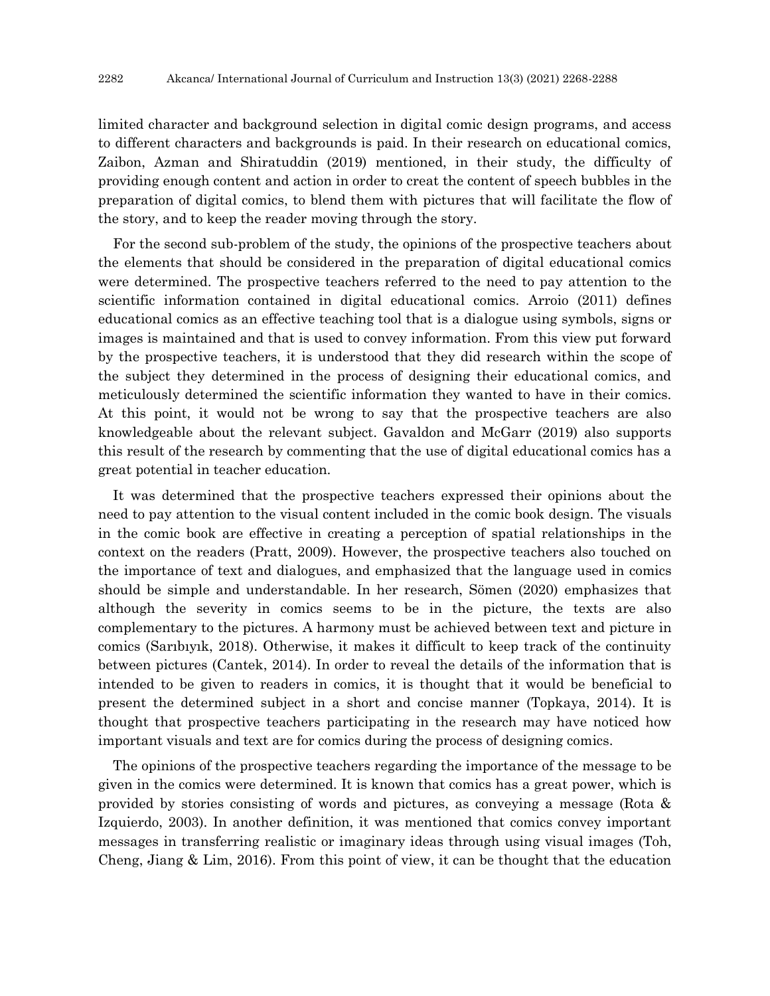limited character and background selection in digital comic design programs, and access to different characters and backgrounds is paid. In their research on educational comics, Zaibon, Azman and Shiratuddin (2019) mentioned, in their study, the difficulty of providing enough content and action in order to creat the content of speech bubbles in the preparation of digital comics, to blend them with pictures that will facilitate the flow of the story, and to keep the reader moving through the story.

For the second sub-problem of the study, the opinions of the prospective teachers about the elements that should be considered in the preparation of digital educational comics were determined. The prospective teachers referred to the need to pay attention to the scientific information contained in digital educational comics. Arroio (2011) defines educational comics as an effective teaching tool that is a dialogue using symbols, signs or images is maintained and that is used to convey information. From this view put forward by the prospective teachers, it is understood that they did research within the scope of the subject they determined in the process of designing their educational comics, and meticulously determined the scientific information they wanted to have in their comics. At this point, it would not be wrong to say that the prospective teachers are also knowledgeable about the relevant subject. Gavaldon and McGarr (2019) also supports this result of the research by commenting that the use of digital educational comics has a great potential in teacher education.

It was determined that the prospective teachers expressed their opinions about the need to pay attention to the visual content included in the comic book design. The visuals in the comic book are effective in creating a perception of spatial relationships in the context on the readers (Pratt, 2009). However, the prospective teachers also touched on the importance of text and dialogues, and emphasized that the language used in comics should be simple and understandable. In her research, Sömen (2020) emphasizes that although the severity in comics seems to be in the picture, the texts are also complementary to the pictures. A harmony must be achieved between text and picture in comics (Sarıbıyık, 2018). Otherwise, it makes it difficult to keep track of the continuity between pictures (Cantek, 2014). In order to reveal the details of the information that is intended to be given to readers in comics, it is thought that it would be beneficial to present the determined subject in a short and concise manner (Topkaya, 2014). It is thought that prospective teachers participating in the research may have noticed how important visuals and text are for comics during the process of designing comics.

The opinions of the prospective teachers regarding the importance of the message to be given in the comics were determined. It is known that comics has a great power, which is provided by stories consisting of words and pictures, as conveying a message (Rota & Izquierdo, 2003). In another definition, it was mentioned that comics convey important messages in transferring realistic or imaginary ideas through using visual images (Toh, Cheng, Jiang & Lim, 2016). From this point of view, it can be thought that the education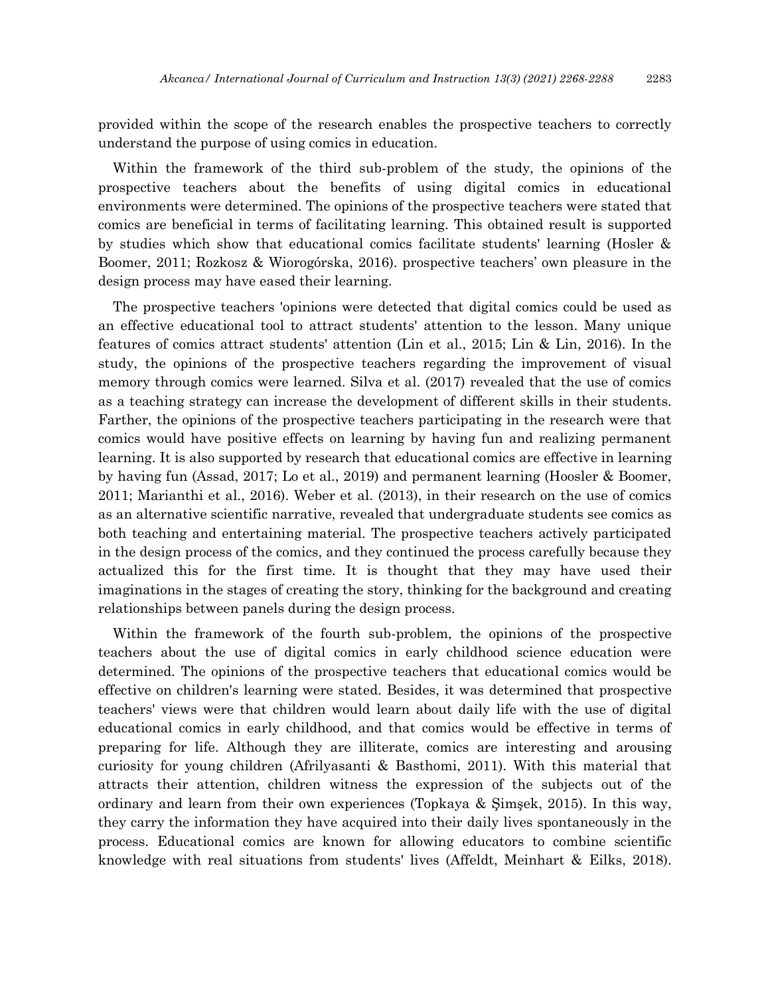provided within the scope of the research enables the prospective teachers to correctly understand the purpose of using comics in education.

Within the framework of the third sub-problem of the study, the opinions of the prospective teachers about the benefits of using digital comics in educational environments were determined. The opinions of the prospective teachers were stated that comics are beneficial in terms of facilitating learning. This obtained result is supported by studies which show that educational comics facilitate students' learning (Hosler & Boomer, 2011; Rozkosz & Wiorogórska, 2016). prospective teachers' own pleasure in the design process may have eased their learning.

The prospective teachers 'opinions were detected that digital comics could be used as an effective educational tool to attract students' attention to the lesson. Many unique features of comics attract students' attention (Lin et al., 2015; Lin & Lin, 2016). In the study, the opinions of the prospective teachers regarding the improvement of visual memory through comics were learned. Silva et al. (2017) revealed that the use of comics as a teaching strategy can increase the development of different skills in their students. Farther, the opinions of the prospective teachers participating in the research were that comics would have positive effects on learning by having fun and realizing permanent learning. It is also supported by research that educational comics are effective in learning by having fun (Assad, 2017; Lo et al., 2019) and permanent learning (Hoosler & Boomer, 2011; Marianthi et al., 2016). Weber et al. (2013), in their research on the use of comics as an alternative scientific narrative, revealed that undergraduate students see comics as both teaching and entertaining material. The prospective teachers actively participated in the design process of the comics, and they continued the process carefully because they actualized this for the first time. It is thought that they may have used their imaginations in the stages of creating the story, thinking for the background and creating relationships between panels during the design process.

Within the framework of the fourth sub-problem, the opinions of the prospective teachers about the use of digital comics in early childhood science education were determined. The opinions of the prospective teachers that educational comics would be effective on children's learning were stated. Besides, it was determined that prospective teachers' views were that children would learn about daily life with the use of digital educational comics in early childhood, and that comics would be effective in terms of preparing for life. Although they are illiterate, comics are interesting and arousing curiosity for young children (Afrilyasanti & Basthomi, 2011). With this material that attracts their attention, children witness the expression of the subjects out of the ordinary and learn from their own experiences (Topkaya & Şimşek, 2015). In this way, they carry the information they have acquired into their daily lives spontaneously in the process. Educational comics are known for allowing educators to combine scientific knowledge with real situations from students' lives (Affeldt, Meinhart & Eilks, 2018).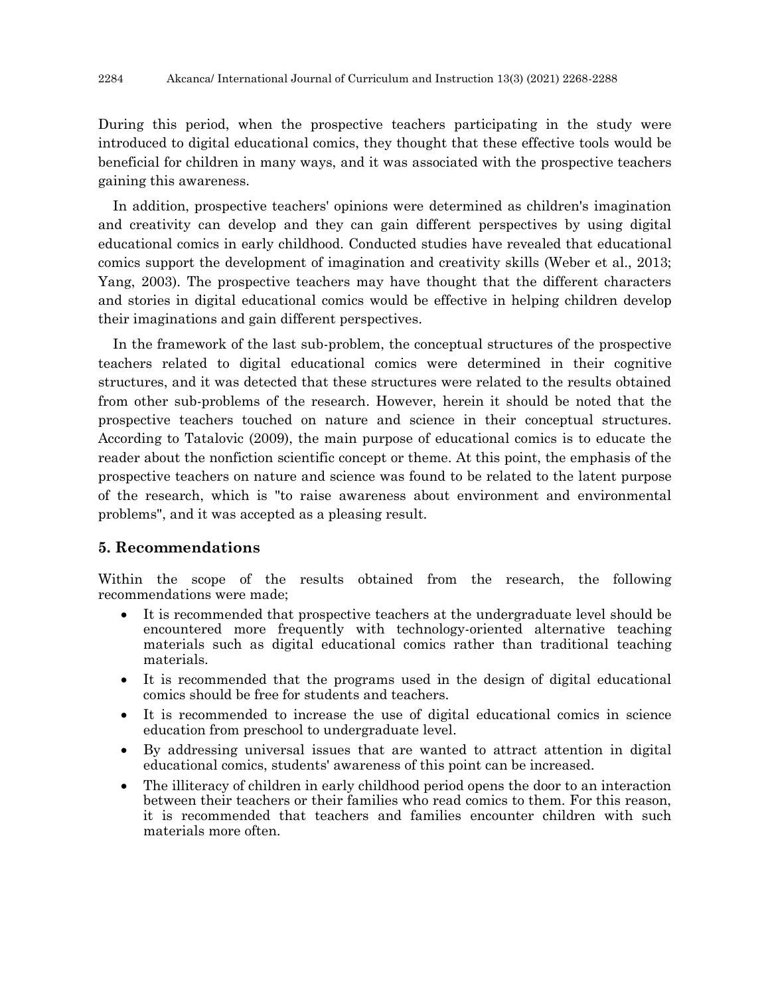During this period, when the prospective teachers participating in the study were introduced to digital educational comics, they thought that these effective tools would be beneficial for children in many ways, and it was associated with the prospective teachers gaining this awareness.

In addition, prospective teachers' opinions were determined as children's imagination and creativity can develop and they can gain different perspectives by using digital educational comics in early childhood. Conducted studies have revealed that educational comics support the development of imagination and creativity skills (Weber et al., 2013; Yang, 2003). The prospective teachers may have thought that the different characters and stories in digital educational comics would be effective in helping children develop their imaginations and gain different perspectives.

In the framework of the last sub-problem, the conceptual structures of the prospective teachers related to digital educational comics were determined in their cognitive structures, and it was detected that these structures were related to the results obtained from other sub-problems of the research. However, herein it should be noted that the prospective teachers touched on nature and science in their conceptual structures. According to Tatalovic (2009), the main purpose of educational comics is to educate the reader about the nonfiction scientific concept or theme. At this point, the emphasis of the prospective teachers on nature and science was found to be related to the latent purpose of the research, which is "to raise awareness about environment and environmental problems", and it was accepted as a pleasing result.

## **5. Recommendations**

Within the scope of the results obtained from the research, the following recommendations were made;

- It is recommended that prospective teachers at the undergraduate level should be encountered more frequently with technology-oriented alternative teaching materials such as digital educational comics rather than traditional teaching materials.
- It is recommended that the programs used in the design of digital educational comics should be free for students and teachers.
- It is recommended to increase the use of digital educational comics in science education from preschool to undergraduate level.
- By addressing universal issues that are wanted to attract attention in digital educational comics, students' awareness of this point can be increased.
- The illiteracy of children in early childhood period opens the door to an interaction between their teachers or their families who read comics to them. For this reason, it is recommended that teachers and families encounter children with such materials more often.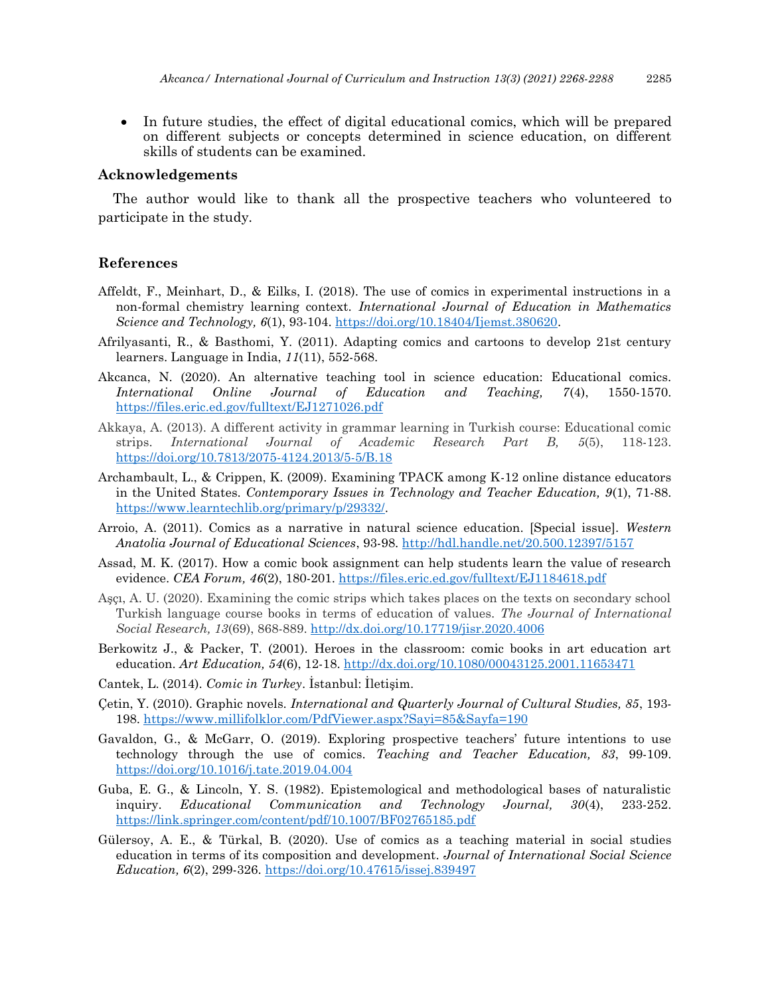In future studies, the effect of digital educational comics, which will be prepared on different subjects or concepts determined in science education, on different skills of students can be examined.

### **Acknowledgements**

The author would like to thank all the prospective teachers who volunteered to participate in the study.

#### **References**

- Affeldt, F., Meinhart, D., & Eilks, I. (2018). The use of comics in experimental instructions in a non-formal chemistry learning context. *International Journal of Education in Mathematics Science and Technology, 6*(1), 93-104. [https://doi.org/10.18404/Ijemst.380620.](https://doi.org/10.18404/Ijemst.380620)
- Afrilyasanti, R., & Basthomi, Y. (2011). Adapting comics and cartoons to develop 21st century learners. Language in India, *11*(11), 552-568.
- Akcanca, N. (2020). An alternative teaching tool in science education: Educational comics. *International Online Journal of Education and Teaching, 7*(4), 1550-1570. <https://files.eric.ed.gov/fulltext/EJ1271026.pdf>
- Akkaya, A. (2013). A different activity in grammar learning in Turkish course: Educational comic strips. *International Journal of Academic Research Part B, 5*(5), 118-123. <https://doi.org/10.7813/2075-4124.2013/5-5/B.18>
- Archambault, L., & Crippen, K. (2009). Examining TPACK among K-12 online distance educators in the United States. *Contemporary Issues in Technology and Teacher Education, 9*(1), 71-88. [https://www.learntechlib.org/primary/p/29332/.](https://www.learntechlib.org/primary/p/29332/)
- Arroio, A. (2011). Comics as a narrative in natural science education. [Special issue]. *Western Anatolia Journal of Educational Sciences*, 93-98. <http://hdl.handle.net/20.500.12397/5157>
- Assad, M. K. (2017). How a comic book assignment can help students learn the value of research evidence. *CEA Forum, 46*(2), 180-201. <https://files.eric.ed.gov/fulltext/EJ1184618.pdf>
- Aşçı, A. U. (2020). Examining the comic strips which takes places on the texts on secondary school Turkish language course books in terms of education of values. *The Journal of International Social Research, 13*(69), 868-889.<http://dx.doi.org/10.17719/jisr.2020.4006>
- Berkowitz J., & Packer, T. (2001). Heroes in the classroom: comic books in art education art education. *Art Education, 54*(6), 12-18.<http://dx.doi.org/10.1080/00043125.2001.11653471>
- Cantek, L. (2014). *Comic in Turkey*. İstanbul: İletişim.
- Çetin, Y. (2010). Graphic novels. *International and Quarterly Journal of Cultural Studies, 85*, 193- 198. <https://www.millifolklor.com/PdfViewer.aspx?Sayi=85&Sayfa=190>
- Gavaldon, G., & McGarr, O. (2019). Exploring prospective teachers' future intentions to use technology through the use of comics. *Teaching and Teacher Education, 83*, 99-109. <https://doi.org/10.1016/j.tate.2019.04.004>
- Guba, E. G., & Lincoln, Y. S. (1982). Epistemological and methodological bases of naturalistic inquiry. *Educational Communication and Technology Journal, 30*(4), 233-252. <https://link.springer.com/content/pdf/10.1007/BF02765185.pdf>
- Gülersoy, A. E., & Türkal, B. (2020). Use of comics as a teaching material in social studies education in terms of its composition and development. *Journal of International Social Science Education, 6*(2), 299-326.<https://doi.org/10.47615/issej.839497>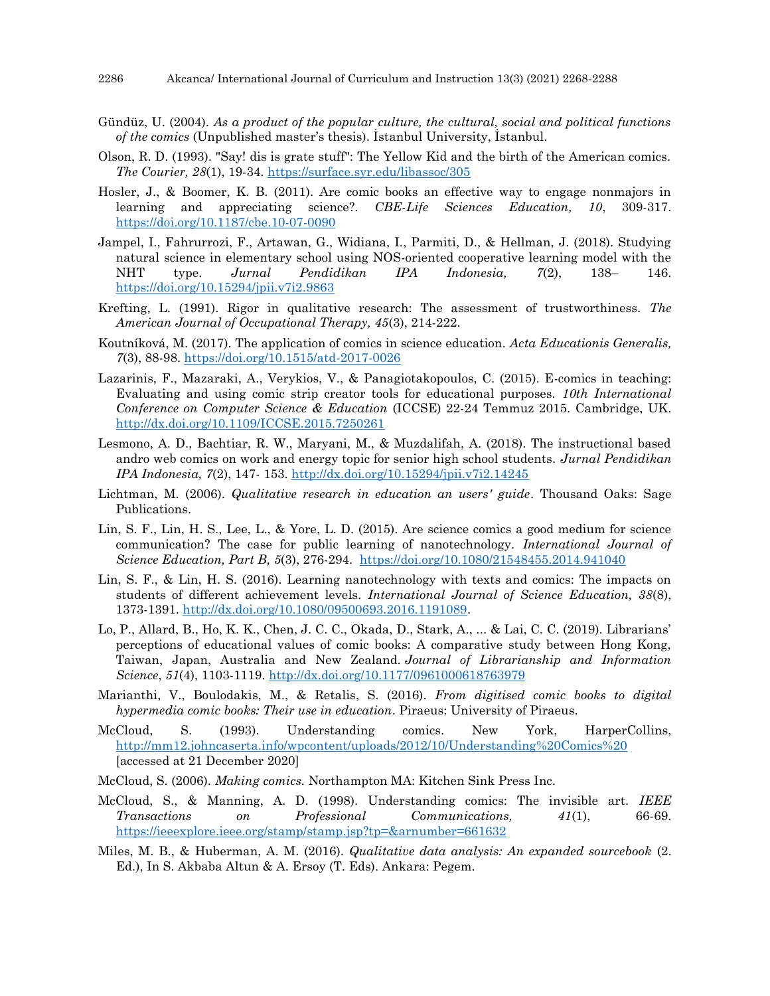- Gündüz, U. (2004). *As a product of the popular culture, the cultural, social and political functions of the comics* (Unpublished master's thesis). İstanbul University, İstanbul.
- Olson, R. D. (1993). "Say! dis is grate stuff": The Yellow Kid and the birth of the American comics. *The Courier, 28*(1), 19-34. <https://surface.syr.edu/libassoc/305>
- Hosler, J., & Boomer, K. B. (2011). Are comic books an effective way to engage nonmajors in learning and appreciating science?. *CBE-Life Sciences Education, 10*, 309-317. <https://doi.org/10.1187/cbe.10-07-0090>
- Jampel, I., Fahrurrozi, F., Artawan, G., Widiana, I., Parmiti, D., & Hellman, J. (2018). Studying natural science in elementary school using NOS-oriented cooperative learning model with the NHT type. *Jurnal Pendidikan IPA Indonesia, 7*(2), 138– 146. <https://doi.org/10.15294/jpii.v7i2.9863>
- Krefting, L. (1991). Rigor in qualitative research: The assessment of trustworthiness. *The American Journal of Occupational Therapy, 45*(3), 214-222.
- Koutníková, M. (2017). The application of comics in science education. *Acta Educationis Generalis, 7*(3), 88-98.<https://doi.org/10.1515/atd-2017-0026>
- Lazarinis, F., Mazaraki, A., Verykios, V., & Panagiotakopoulos, C. (2015). E-comics in teaching: Evaluating and using comic strip creator tools for educational purposes. *10th International Conference on Computer Science & Education* (ICCSE) 22-24 Temmuz 2015. Cambridge, UK. <http://dx.doi.org/10.1109/ICCSE.2015.7250261>
- Lesmono, A. D., Bachtiar, R. W., Maryani, M., & Muzdalifah, A. (2018). The instructional based andro web comics on work and energy topic for senior high school students. *Jurnal Pendidikan IPA Indonesia, 7*(2), 147- 153. <http://dx.doi.org/10.15294/jpii.v7i2.14245>
- Lichtman, M. (2006). *Qualitative research in education an users' guide*. Thousand Oaks: Sage Publications.
- Lin, S. F., Lin, H. S., Lee, L., & Yore, L. D. (2015). Are science comics a good medium for science communication? The case for public learning of nanotechnology. *International Journal of Science Education, Part B, 5*(3), 276-294. <https://doi.org/10.1080/21548455.2014.941040>
- Lin, S. F., & Lin, H. S. (2016). Learning nanotechnology with texts and comics: The impacts on students of different achievement levels. *International Journal of Science Education, 38*(8), 1373-1391. [http://dx.doi.org/10.1080/09500693.2016.1191089.](http://dx.doi.org/10.1080/09500693.2016.1191089)
- Lo, P., Allard, B., Ho, K. K., Chen, J. C. C., Okada, D., Stark, A., ... & Lai, C. C. (2019). Librarians' perceptions of educational values of comic books: A comparative study between Hong Kong, Taiwan, Japan, Australia and New Zealand. *Journal of Librarianship and Information Science*, *51*(4), 1103-1119. <http://dx.doi.org/10.1177/0961000618763979>
- Marianthi, V., Boulodakis, M., & Retalis, S. (2016). *From digitised comic books to digital hypermedia comic books: Their use in education*. Piraeus: University of Piraeus.
- McCloud, S. (1993). Understanding comics. New York, HarperCollins, [http://mm12.johncaserta.info/wpcontent/uploads/2012/10/Understanding%20Comics%20](http://mm12.johncaserta.info/wpcontent/uploads/2012/10/Understanding%20Comics) [accessed at 21 December 2020]
- McCloud, S. (2006). *Making comics.* Northampton MA: Kitchen Sink Press Inc.
- McCloud, S., & Manning, A. D. (1998). Understanding comics: The invisible art. *IEEE Transactions on Professional Communications, 41*(1), 66-69. <https://ieeexplore.ieee.org/stamp/stamp.jsp?tp=&arnumber=661632>
- Miles, M. B., & Huberman, A. M. (2016). *Qualitative data analysis: An expanded sourcebook* (2. Ed.), In S. Akbaba Altun & A. Ersoy (T. Eds). Ankara: Pegem.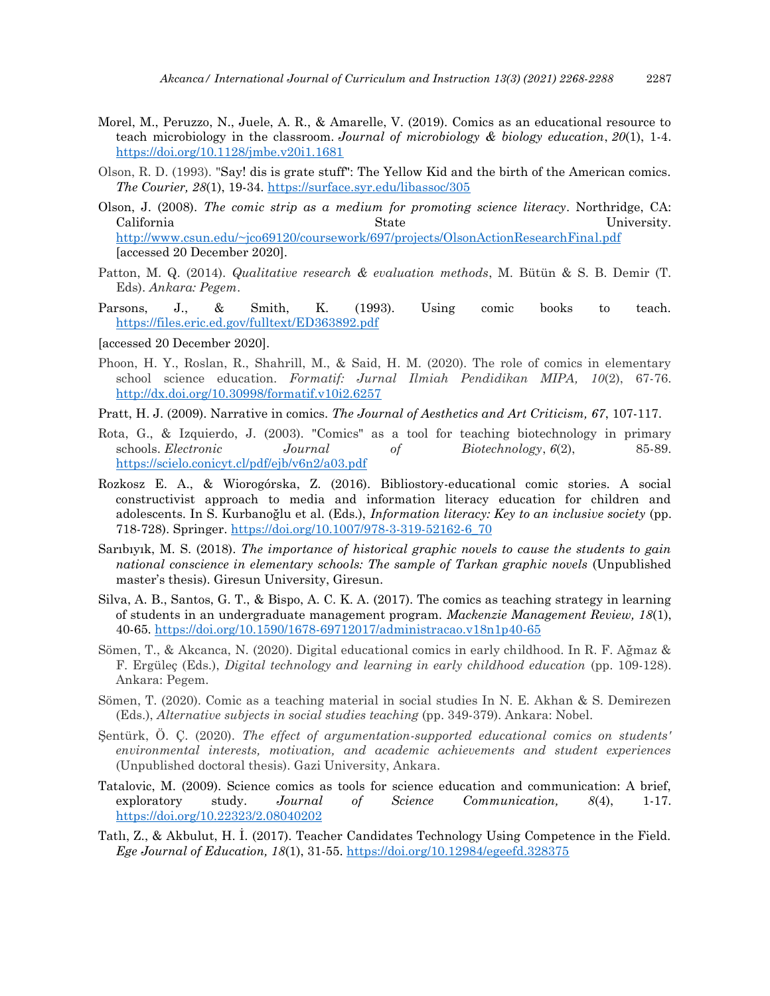- Morel, M., Peruzzo, N., Juele, A. R., & Amarelle, V. (2019). Comics as an educational resource to teach microbiology in the classroom. *Journal of microbiology & biology education*, *20*(1), 1-4. <https://doi.org/10.1128/jmbe.v20i1.1681>
- Olson, R. D. (1993). "Say! dis is grate stuff": The Yellow Kid and the birth of the American comics. *The Courier, 28*(1), 19-34. <https://surface.syr.edu/libassoc/305>
- Olson, J. (2008). *The comic strip as a medium for promoting science literacy*. Northridge, CA: California State University. <http://www.csun.edu/~jco69120/coursework/697/projects/OlsonActionResearchFinal.pdf> [accessed 20 December 2020].
- Patton, M. Q. (2014). *Qualitative research & evaluation methods*, M. Bütün & S. B. Demir (T. Eds). *Ankara: Pegem*.
- Parsons, J., & Smith, K. (1993). Using comic books to teach. <https://files.eric.ed.gov/fulltext/ED363892.pdf>
- [accessed 20 December 2020].
- Phoon, H. Y., Roslan, R., Shahrill, M., & Said, H. M. (2020). The role of comics in elementary school science education. *Formatif: Jurnal Ilmiah Pendidikan MIPA, 10*(2), 67-76. <http://dx.doi.org/10.30998/formatif.v10i2.6257>
- Pratt, H. J. (2009). Narrative in comics. *The Journal of Aesthetics and Art Criticism, 67*, 107-117.
- Rota, G., & Izquierdo, J. (2003). "Comics" as a tool for teaching biotechnology in primary schools. *Electronic Journal of Biotechnology*, *6*(2), 85-89. <https://scielo.conicyt.cl/pdf/ejb/v6n2/a03.pdf>
- Rozkosz E. A., & Wiorogórska, Z. (2016). Bibliostory-educational comic stories. A social constructivist approach to media and information literacy education for children and adolescents. In S. Kurbanoğlu et al. (Eds.), *Information literacy: Key to an inclusive society* (pp. 718-728). Springer. [https://doi.org/10.1007/978-3-319-52162-6\\_70](https://doi.org/10.1007/978-3-319-52162-6_70)
- Sarıbıyık, M. S. (2018). *The importance of historical graphic novels to cause the students to gain national conscience in elementary schools: The sample of Tarkan graphic novels* (Unpublished master's thesis). Giresun University, Giresun.
- Silva, A. B., Santos, G. T., & Bispo, A. C. K. A. (2017). The comics as teaching strategy in learning of students in an undergraduate management program. *Mackenzie Management Review, 18*(1), 40-65.<https://doi.org/10.1590/1678-69712017/administracao.v18n1p40-65>
- Sömen, T., & Akcanca, N. (2020). Digital educational comics in early childhood. In R. F. Ağmaz & F. Ergüleç (Eds.), *Digital technology and learning in early childhood education* (pp. 109-128). Ankara: Pegem.
- Sömen, T. (2020). Comic as a teaching material in social studies In N. E. Akhan & S. Demirezen (Eds.), *Alternative subjects in social studies teaching* (pp. 349-379). Ankara: Nobel.
- Şentürk, Ö. Ç. (2020). *The effect of argumentation-supported educational comics on students' environmental interests, motivation, and academic achievements and student experiences* (Unpublished doctoral thesis). Gazi University, Ankara.
- Tatalovic, M. (2009). Science comics as tools for science education and communication: A brief, exploratory study. *Journal of Science Communication, 8*(4), 1-17. <https://doi.org/10.22323/2.08040202>
- Tatlı, Z., & Akbulut, H. İ. (2017). Teacher Candidates Technology Using Competence in the Field. *Ege Journal of Education, 18*(1), 31-55. <https://doi.org/10.12984/egeefd.328375>